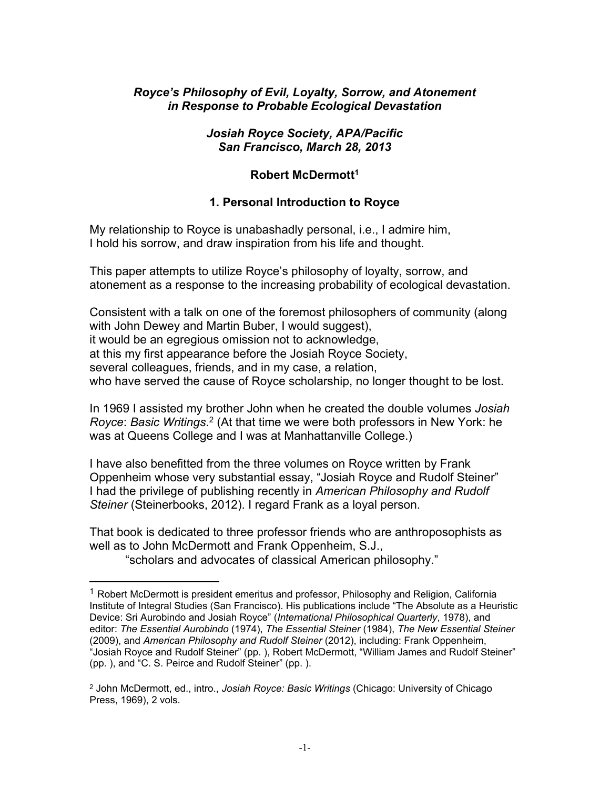### *Royce's Philosophy of Evil, Loyalty, Sorrow, and Atonement in Response to Probable Ecological Devastation*

#### *Josiah Royce Society, APA/Pacific San Francisco, March 28, 2013*

#### **Robert McDermott<sup>1</sup>**

### **1. Personal Introduction to Royce**

My relationship to Royce is unabashadly personal, i.e., I admire him, I hold his sorrow, and draw inspiration from his life and thought.

This paper attempts to utilize Royce's philosophy of loyalty, sorrow, and atonement as a response to the increasing probability of ecological devastation.

Consistent with a talk on one of the foremost philosophers of community (along with John Dewey and Martin Buber, I would suggest), it would be an egregious omission not to acknowledge, at this my first appearance before the Josiah Royce Society, several colleagues, friends, and in my case, a relation, who have served the cause of Royce scholarship, no longer thought to be lost.

In 1969 I assisted my brother John when he created the double volumes *Josiah*  Royce: Basic Writings.<sup>2</sup> (At that time we were both professors in New York: he was at Queens College and I was at Manhattanville College.)

I have also benefitted from the three volumes on Royce written by Frank Oppenheim whose very substantial essay, "Josiah Royce and Rudolf Steiner" I had the privilege of publishing recently in *American Philosophy and Rudolf Steiner* (Steinerbooks, 2012). I regard Frank as a loyal person.

That book is dedicated to three professor friends who are anthroposophists as well as to John McDermott and Frank Oppenheim, S.J.,

"scholars and advocates of classical American philosophy."

 $<sup>1</sup>$  Robert McDermott is president emeritus and professor, Philosophy and Religion, California</sup> Institute of Integral Studies (San Francisco). His publications include "The Absolute as a Heuristic Device: Sri Aurobindo and Josiah Royce" (*International Philosophical Quarterly*, 1978), and editor: *The Essential Aurobindo* (1974), *The Essential Steiner* (1984), *The New Essential Steiner* (2009), and *American Philosophy and Rudolf Steiner* (2012), including: Frank Oppenheim, "Josiah Royce and Rudolf Steiner" (pp. ), Robert McDermott, "William James and Rudolf Steiner" (pp. ), and "C. S. Peirce and Rudolf Steiner" (pp. ).

<sup>2</sup> John McDermott, ed., intro., *Josiah Royce: Basic Writings* (Chicago: University of Chicago Press, 1969), 2 vols.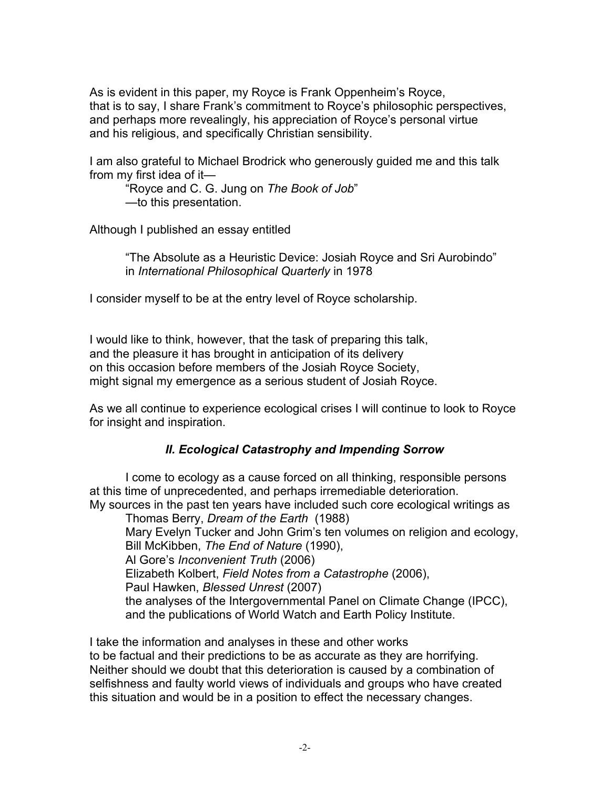As is evident in this paper, my Royce is Frank Oppenheim's Royce, that is to say, I share Frank's commitment to Royce's philosophic perspectives, and perhaps more revealingly, his appreciation of Royce's personal virtue and his religious, and specifically Christian sensibility.

I am also grateful to Michael Brodrick who generously guided me and this talk from my first idea of it—

"Royce and C. G. Jung on *The Book of Job*" —to this presentation.

Although I published an essay entitled

"The Absolute as a Heuristic Device: Josiah Royce and Sri Aurobindo" in *International Philosophical Quarterly* in 1978

I consider myself to be at the entry level of Royce scholarship.

I would like to think, however, that the task of preparing this talk, and the pleasure it has brought in anticipation of its delivery on this occasion before members of the Josiah Royce Society, might signal my emergence as a serious student of Josiah Royce.

As we all continue to experience ecological crises I will continue to look to Royce for insight and inspiration.

## *II. Ecological Catastrophy and Impending Sorrow*

I come to ecology as a cause forced on all thinking, responsible persons at this time of unprecedented, and perhaps irremediable deterioration. My sources in the past ten years have included such core ecological writings as

Thomas Berry, *Dream of the Earth* (1988) Mary Evelyn Tucker and John Grim's ten volumes on religion and ecology, Bill McKibben, *The End of Nature* (1990), Al Gore's *Inconvenient Truth* (2006) Elizabeth Kolbert, *Field Notes from a Catastrophe* (2006), Paul Hawken, *Blessed Unrest* (2007) the analyses of the Intergovernmental Panel on Climate Change (IPCC), and the publications of World Watch and Earth Policy Institute.

I take the information and analyses in these and other works to be factual and their predictions to be as accurate as they are horrifying. Neither should we doubt that this deterioration is caused by a combination of selfishness and faulty world views of individuals and groups who have created this situation and would be in a position to effect the necessary changes.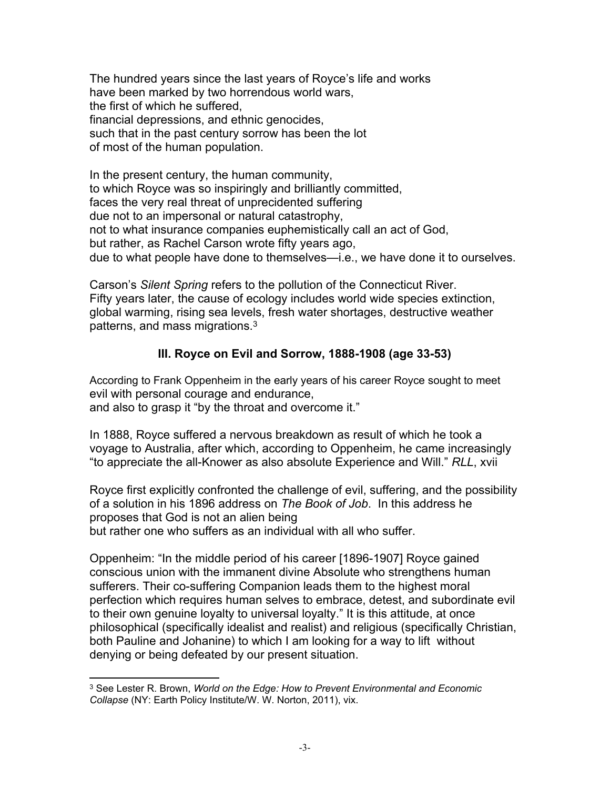The hundred years since the last years of Royce's life and works have been marked by two horrendous world wars, the first of which he suffered, financial depressions, and ethnic genocides, such that in the past century sorrow has been the lot of most of the human population.

In the present century, the human community, to which Royce was so inspiringly and brilliantly committed, faces the very real threat of unprecidented suffering due not to an impersonal or natural catastrophy, not to what insurance companies euphemistically call an act of God, but rather, as Rachel Carson wrote fifty years ago, due to what people have done to themselves—i.e., we have done it to ourselves.

Carson's *Silent Spring* refers to the pollution of the Connecticut River. Fifty years later, the cause of ecology includes world wide species extinction, global warming, rising sea levels, fresh water shortages, destructive weather patterns, and mass migrations.<sup>3</sup>

## **III. Royce on Evil and Sorrow, 1888-1908 (age 33-53)**

According to Frank Oppenheim in the early years of his career Royce sought to meet evil with personal courage and endurance, and also to grasp it "by the throat and overcome it."

In 1888, Royce suffered a nervous breakdown as result of which he took a voyage to Australia, after which, according to Oppenheim, he came increasingly "to appreciate the all-Knower as also absolute Experience and Will." *RLL*, xvii

Royce first explicitly confronted the challenge of evil, suffering, and the possibility of a solution in his 1896 address on *The Book of Job*. In this address he proposes that God is not an alien being but rather one who suffers as an individual with all who suffer.

Oppenheim: "In the middle period of his career [1896-1907] Royce gained conscious union with the immanent divine Absolute who strengthens human sufferers. Their co-suffering Companion leads them to the highest moral perfection which requires human selves to embrace, detest, and subordinate evil to their own genuine loyalty to universal loyalty." It is this attitude, at once philosophical (specifically idealist and realist) and religious (specifically Christian, both Pauline and Johanine) to which I am looking for a way to lift without denying or being defeated by our present situation.

<sup>3</sup> See Lester R. Brown, *World on the Edge: How to Prevent Environmental and Economic Collapse* (NY: Earth Policy Institute/W. W. Norton, 2011), vix.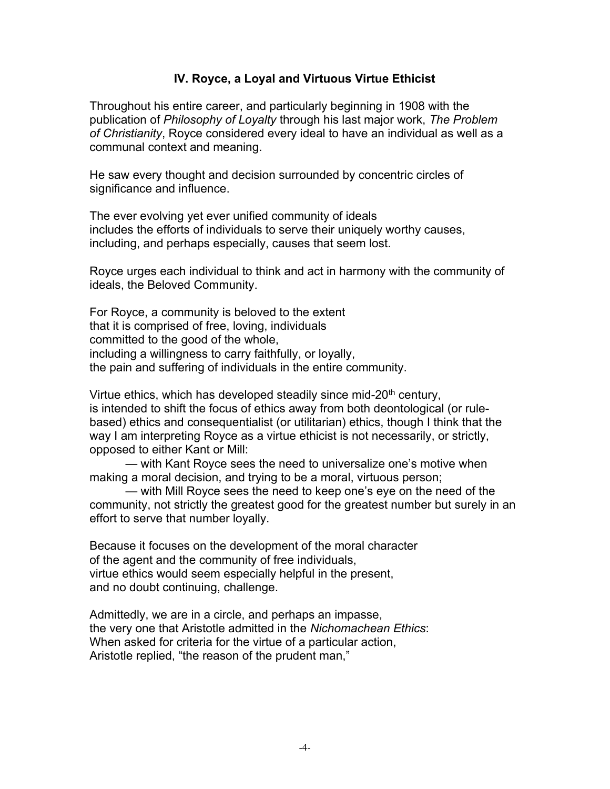#### **IV. Royce, a Loyal and Virtuous Virtue Ethicist**

Throughout his entire career, and particularly beginning in 1908 with the publication of *Philosophy of Loyalty* through his last major work, *The Problem of Christianity*, Royce considered every ideal to have an individual as well as a communal context and meaning.

He saw every thought and decision surrounded by concentric circles of significance and influence.

The ever evolving yet ever unified community of ideals includes the efforts of individuals to serve their uniquely worthy causes, including, and perhaps especially, causes that seem lost.

Royce urges each individual to think and act in harmony with the community of ideals, the Beloved Community.

For Royce, a community is beloved to the extent that it is comprised of free, loving, individuals committed to the good of the whole, including a willingness to carry faithfully, or loyally, the pain and suffering of individuals in the entire community.

Virtue ethics, which has developed steadily since mid-20<sup>th</sup> century, is intended to shift the focus of ethics away from both deontological (or rulebased) ethics and consequentialist (or utilitarian) ethics, though I think that the way I am interpreting Royce as a virtue ethicist is not necessarily, or strictly, opposed to either Kant or Mill:

— with Kant Royce sees the need to universalize one's motive when making a moral decision, and trying to be a moral, virtuous person;

— with Mill Royce sees the need to keep one's eye on the need of the community, not strictly the greatest good for the greatest number but surely in an effort to serve that number loyally.

Because it focuses on the development of the moral character of the agent and the community of free individuals, virtue ethics would seem especially helpful in the present, and no doubt continuing, challenge.

Admittedly, we are in a circle, and perhaps an impasse, the very one that Aristotle admitted in the *Nichomachean Ethics*: When asked for criteria for the virtue of a particular action, Aristotle replied, "the reason of the prudent man,"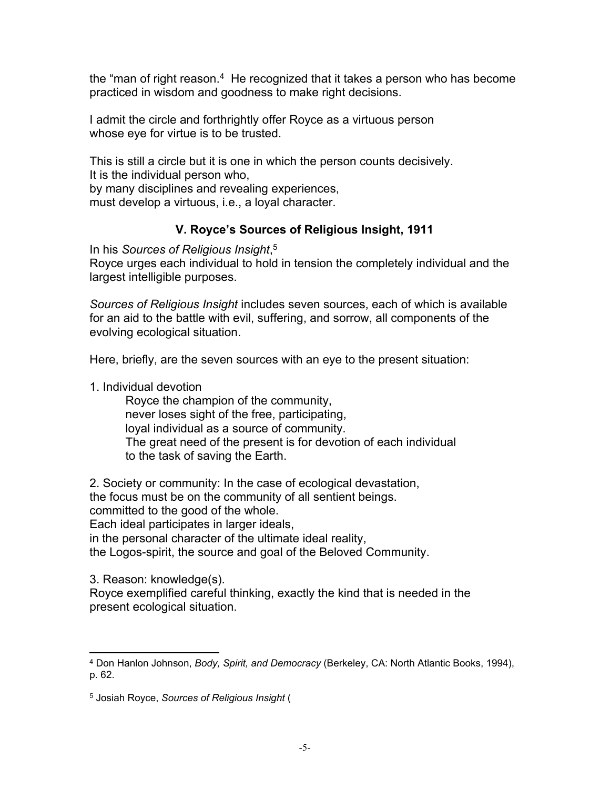the "man of right reason.<sup>4</sup> He recognized that it takes a person who has become practiced in wisdom and goodness to make right decisions.

I admit the circle and forthrightly offer Royce as a virtuous person whose eye for virtue is to be trusted.

This is still a circle but it is one in which the person counts decisively. It is the individual person who, by many disciplines and revealing experiences, must develop a virtuous, i.e., a loyal character.

## **V. Royce's Sources of Religious Insight, 1911**

In his *Sources of Religious Insight*, 5

Royce urges each individual to hold in tension the completely individual and the largest intelligible purposes.

*Sources of Religious Insight* includes seven sources, each of which is available for an aid to the battle with evil, suffering, and sorrow, all components of the evolving ecological situation.

Here, briefly, are the seven sources with an eye to the present situation:

1. Individual devotion

Royce the champion of the community, never loses sight of the free, participating, loyal individual as a source of community. The great need of the present is for devotion of each individual to the task of saving the Earth.

2. Society or community: In the case of ecological devastation,

the focus must be on the community of all sentient beings.

committed to the good of the whole.

Each ideal participates in larger ideals,

in the personal character of the ultimate ideal reality,

the Logos-spirit, the source and goal of the Beloved Community.

3. Reason: knowledge(s).

Royce exemplified careful thinking, exactly the kind that is needed in the present ecological situation.

<sup>4</sup> Don Hanlon Johnson, *Body, Spirit, and Democracy* (Berkeley, CA: North Atlantic Books, 1994), p. 62.

<sup>5</sup> Josiah Royce, *Sources of Religious Insight* (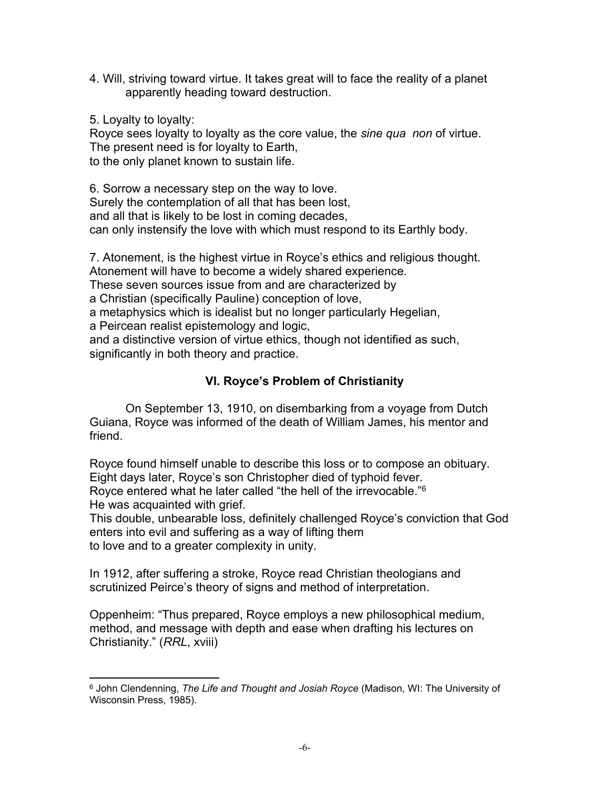4. Will, striving toward virtue. It takes great will to face the reality of a planet apparently heading toward destruction.

5. Loyalty to loyalty:

Royce sees loyalty to loyalty as the core value, the *sine qua non* of virtue. The present need is for loyalty to Earth, to the only planet known to sustain life.

6. Sorrow a necessary step on the way to love. Surely the contemplation of all that has been lost, and all that is likely to be lost in coming decades, can only instensify the love with which must respond to its Earthly body.

7. Atonement, is the highest virtue in Royce's ethics and religious thought. Atonement will have to become a widely shared experience.

These seven sources issue from and are characterized by

a Christian (specifically Pauline) conception of love,

a metaphysics which is idealist but no longer particularly Hegelian,

a Peircean realist epistemology and logic,

and a distinctive version of virtue ethics, though not identified as such, significantly in both theory and practice.

# **VI. Royce's Problem of Christianity**

On September 13, 1910, on disembarking from a voyage from Dutch Guiana, Royce was informed of the death of William James, his mentor and friend.

Royce found himself unable to describe this loss or to compose an obituary. Eight days later, Royce's son Christopher died of typhoid fever. Royce entered what he later called "the hell of the irrevocable."<sup>6</sup> He was acquainted with grief.

This double, unbearable loss, definitely challenged Royce's conviction that God enters into evil and suffering as a way of lifting them to love and to a greater complexity in unity.

In 1912, after suffering a stroke, Royce read Christian theologians and scrutinized Peirce's theory of signs and method of interpretation.

Oppenheim: "Thus prepared, Royce employs a new philosophical medium, method, and message with depth and ease when drafting his lectures on Christianity." (*RRL*, xviii)

<sup>6</sup> John Clendenning, *The Life and Thought and Josiah Royce* (Madison, WI: The University of Wisconsin Press, 1985).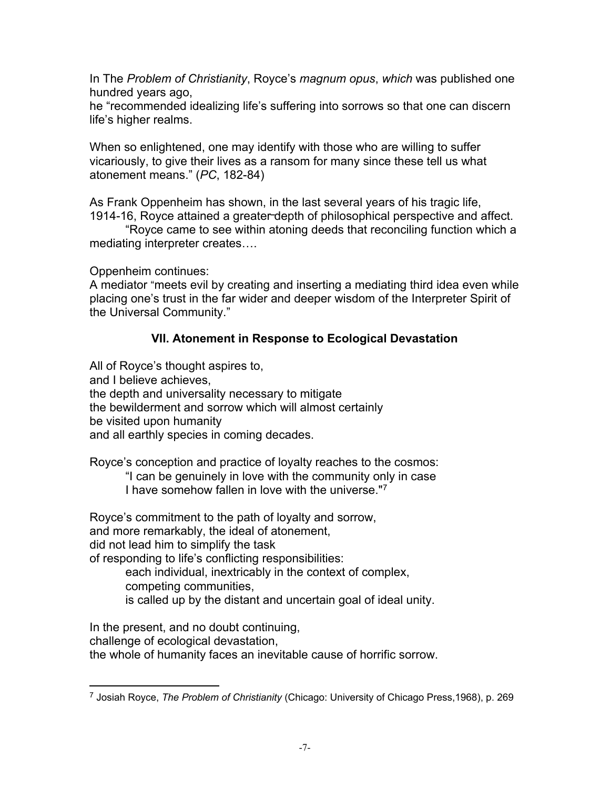In The *Problem of Christianity*, Royce's *magnum opus*, *which* was published one hundred years ago,

he "recommended idealizing life's suffering into sorrows so that one can discern life's higher realms.

When so enlightened, one may identify with those who are willing to suffer vicariously, to give their lives as a ransom for many since these tell us what atonement means." (*PC*, 182-84)

As Frank Oppenheim has shown, in the last several years of his tragic life, 1914-16, Royce attained a greater depth of philosophical perspective and affect.

"Royce came to see within atoning deeds that reconciling function which a mediating interpreter creates….

Oppenheim continues:

A mediator "meets evil by creating and inserting a mediating third idea even while placing one's trust in the far wider and deeper wisdom of the Interpreter Spirit of the Universal Community."

# **VII. Atonement in Response to Ecological Devastation**

All of Royce's thought aspires to, and I believe achieves, the depth and universality necessary to mitigate the bewilderment and sorrow which will almost certainly be visited upon humanity

and all earthly species in coming decades.

Royce's conception and practice of loyalty reaches to the cosmos:

"I can be genuinely in love with the community only in case

I have somehow fallen in love with the universe."<sup>7</sup>

Royce's commitment to the path of loyalty and sorrow,

and more remarkably, the ideal of atonement,

did not lead him to simplify the task

of responding to life's conflicting responsibilities:

each individual, inextricably in the context of complex,

competing communities,

is called up by the distant and uncertain goal of ideal unity.

In the present, and no doubt continuing,

challenge of ecological devastation,

the whole of humanity faces an inevitable cause of horrific sorrow.

<sup>7</sup> Josiah Royce, *The Problem of Christianity* (Chicago: University of Chicago Press,1968), p. 269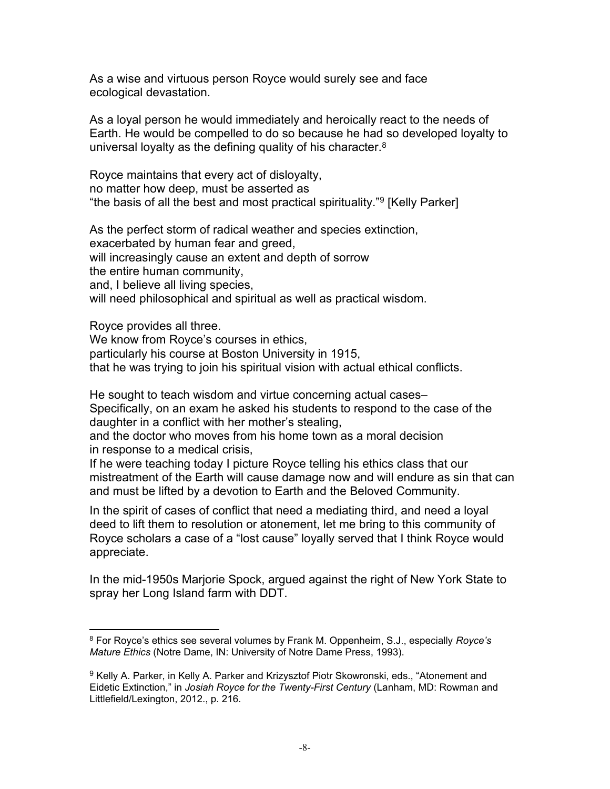As a wise and virtuous person Royce would surely see and face ecological devastation.

As a loyal person he would immediately and heroically react to the needs of Earth. He would be compelled to do so because he had so developed loyalty to universal loyalty as the defining quality of his character.<sup>8</sup>

Royce maintains that every act of disloyalty, no matter how deep, must be asserted as "the basis of all the best and most practical spirituality."<sup>9</sup> [Kelly Parker]

As the perfect storm of radical weather and species extinction, exacerbated by human fear and greed, will increasingly cause an extent and depth of sorrow the entire human community, and, I believe all living species, will need philosophical and spiritual as well as practical wisdom.

Royce provides all three. We know from Royce's courses in ethics, particularly his course at Boston University in 1915, that he was trying to join his spiritual vision with actual ethical conflicts.

He sought to teach wisdom and virtue concerning actual cases– Specifically, on an exam he asked his students to respond to the case of the daughter in a conflict with her mother's stealing,

and the doctor who moves from his home town as a moral decision in response to a medical crisis,

If he were teaching today I picture Royce telling his ethics class that our mistreatment of the Earth will cause damage now and will endure as sin that can and must be lifted by a devotion to Earth and the Beloved Community.

In the spirit of cases of conflict that need a mediating third, and need a loyal deed to lift them to resolution or atonement, let me bring to this community of Royce scholars a case of a "lost cause" loyally served that I think Royce would appreciate.

In the mid-1950s Marjorie Spock, argued against the right of New York State to spray her Long Island farm with DDT.

<sup>8</sup> For Royce's ethics see several volumes by Frank M. Oppenheim, S.J., especially *Royce's Mature Ethics* (Notre Dame, IN: University of Notre Dame Press, 1993).

<sup>&</sup>lt;sup>9</sup> Kelly A. Parker, in Kelly A. Parker and Krizysztof Piotr Skowronski, eds., "Atonement and Eidetic Extinction," in *Josiah Royce for the Twenty-First Century* (Lanham, MD: Rowman and Littlefield/Lexington, 2012., p. 216.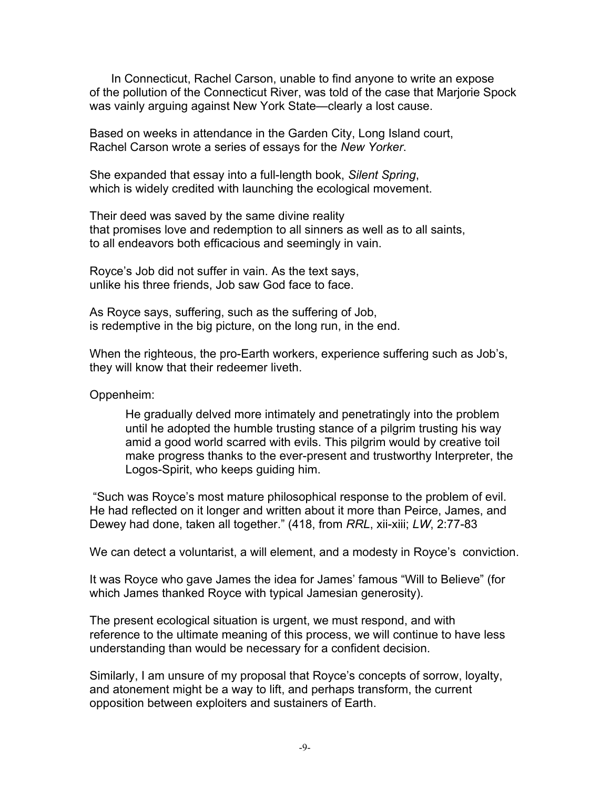In Connecticut, Rachel Carson, unable to find anyone to write an expose of the pollution of the Connecticut River, was told of the case that Marjorie Spock was vainly arguing against New York State—clearly a lost cause.

Based on weeks in attendance in the Garden City, Long Island court, Rachel Carson wrote a series of essays for the *New Yorker*.

She expanded that essay into a full-length book, *Silent Spring*, which is widely credited with launching the ecological movement.

Their deed was saved by the same divine reality that promises love and redemption to all sinners as well as to all saints, to all endeavors both efficacious and seemingly in vain.

Royce's Job did not suffer in vain. As the text says, unlike his three friends, Job saw God face to face.

As Royce says, suffering, such as the suffering of Job, is redemptive in the big picture, on the long run, in the end.

When the righteous, the pro-Earth workers, experience suffering such as Job's, they will know that their redeemer liveth.

Oppenheim:

He gradually delved more intimately and penetratingly into the problem until he adopted the humble trusting stance of a pilgrim trusting his way amid a good world scarred with evils. This pilgrim would by creative toil make progress thanks to the ever-present and trustworthy Interpreter, the Logos-Spirit, who keeps guiding him.

 "Such was Royce's most mature philosophical response to the problem of evil. He had reflected on it longer and written about it more than Peirce, James, and Dewey had done, taken all together." (418, from *RRL*, xii-xiii; *LW*, 2:77-83

We can detect a voluntarist, a will element, and a modesty in Royce's conviction.

It was Royce who gave James the idea for James' famous "Will to Believe" (for which James thanked Royce with typical Jamesian generosity).

The present ecological situation is urgent, we must respond, and with reference to the ultimate meaning of this process, we will continue to have less understanding than would be necessary for a confident decision.

Similarly, I am unsure of my proposal that Royce's concepts of sorrow, loyalty, and atonement might be a way to lift, and perhaps transform, the current opposition between exploiters and sustainers of Earth.